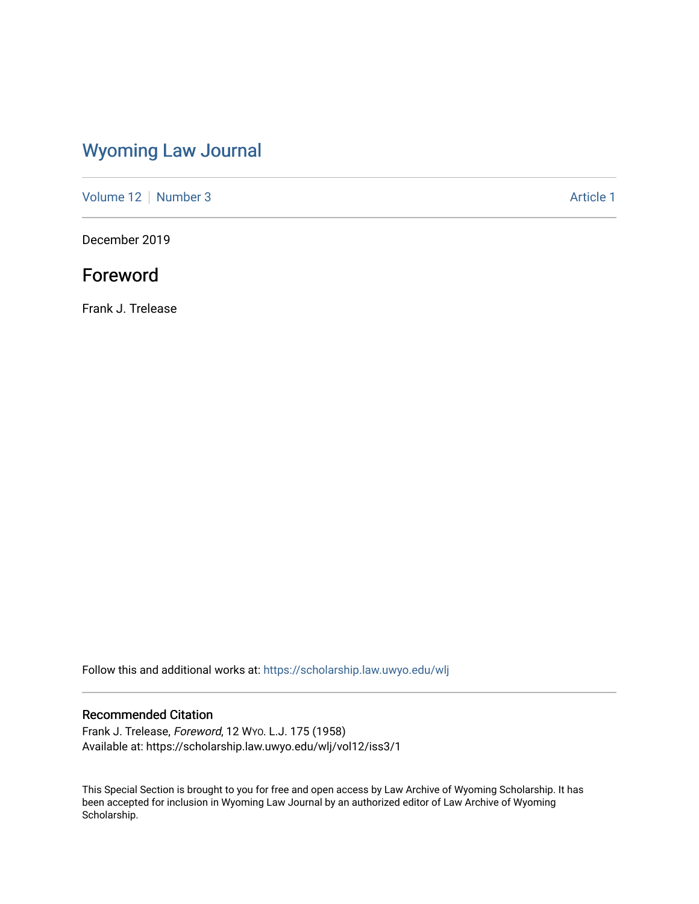## [Wyoming Law Journal](https://scholarship.law.uwyo.edu/wlj)

[Volume 12](https://scholarship.law.uwyo.edu/wlj/vol12) [Number 3](https://scholarship.law.uwyo.edu/wlj/vol12/iss3) Article 1

December 2019

## Foreword

Frank J. Trelease

Follow this and additional works at: [https://scholarship.law.uwyo.edu/wlj](https://scholarship.law.uwyo.edu/wlj?utm_source=scholarship.law.uwyo.edu%2Fwlj%2Fvol12%2Fiss3%2F1&utm_medium=PDF&utm_campaign=PDFCoverPages) 

## Recommended Citation

Frank J. Trelease, Foreword, 12 WYO. L.J. 175 (1958) Available at: https://scholarship.law.uwyo.edu/wlj/vol12/iss3/1

This Special Section is brought to you for free and open access by Law Archive of Wyoming Scholarship. It has been accepted for inclusion in Wyoming Law Journal by an authorized editor of Law Archive of Wyoming Scholarship.